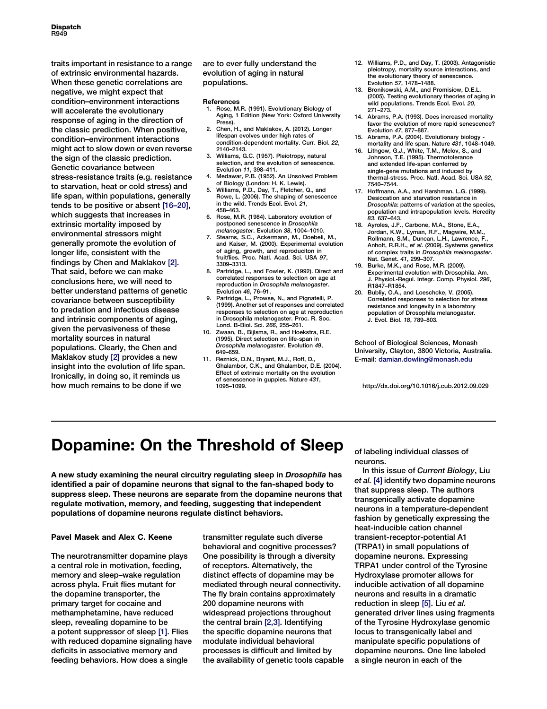traits important in resistance to a range of extrinsic environmental hazards. When these genetic correlations are negative, we might expect that condition–environment interactions will accelerate the evolutionary response of aging in the direction of the classic prediction. When positive, condition–environment interactions might act to slow down or even reverse the sign of the classic prediction. Genetic covariance between stress-resistance traits (e.g. resistance to starvation, heat or cold stress) and life span, within populations, generally tends to be positive or absent [16–20], which suggests that increases in extrinsic mortality imposed by environmental stressors might generally promote the evolution of longer life, consistent with the findings by Chen and Maklakov [2]. That said, before we can make conclusions here, we will need to better understand patterns of genetic covariance between susceptibility to predation and infectious disease and intrinsic components of aging, given the pervasiveness of these mortality sources in natural populations. Clearly, the Chen and Maklakov study [2] provides a new insight into the evolution of life span. Ironically, in doing so, it reminds us how much remains to be done if we

are to ever fully understand the evolution of aging in natural populations.

#### References

- 1. Rose, M.R. (1991). Evolutionary Biology of Aging, 1 Edition (New York: Oxford University Press).
- 2. Chen, H., and Maklakov, A. (2012). Longer lifespan evolves under high rates of condition-dependent mortality. Curr. Biol. 22, 2140–2143.
- 3. Williams, G.C. (1957). Pleiotropy, natural selection, and the evolution of senescence. Evolution 11, 398–411.
- 4. Medawar, P.B. (1952). An Unsolved Problem of Biology (London: H. K. Lewis).
- 5. Williams, P.D., Day, T., Fletcher, Q., and Rowe, L. (2006). The shaping of senescence in the wild. Trends Ecol. Evol. 21, 458–463.
- 6. Rose, M.R. (1984). Laboratory evolution of postponed senescence in Drosophila melanogaster. Evolution 38, 1004–1010.
- 7. Stearns, S.C., Ackermann, M., Doebeli, M., and Kaiser, M. (2000). Experimental evolution of aging, growth, and reproduciton in fruitflies. Proc. Natl. Acad. Sci. USA 97, 3309–3313.
- 8. Partridge, L., and Fowler, K. (1992). Direct and correlated responses to selection on age at reproduction in Drosophila melanogaster.<br>Evolution 46, 76-91.
- Evolution 46, 76–91. 9. Partridge, L., Prowse, N., and Pignatelli, P. (1999). Another set of responses and correlated responses to selection on age at reproduction in Drosophila melanogaster. Proc. R. Soc.<br>Lond. B-Biol. Sci. 266. 255–261.
- Lond. B-Biol. Sci. 266, 255–261. 10. Zwaan, B., Bijlsma, R., and Hoekstra, R.E. (1995). Direct selection on life-span in Drosophila melanogaster. Evolution 49, 649–659.
- 11. Reznick, D.N., Bryant, M.J., Roff, D., Ghalambor, C.K., and Ghalambor, D.E. (2004). Effect of extrinsic mortality on the evolution of senescence in guppies. Nature 431, 1095–1099.
- 12. Williams, P.D., and Day, T. (2003). Antagonistic pleiotropy, mortality source interactions, and the evolutionary theory of senescence. Evolution 57, 1478–1488.
- 13. Bronikowski, A.M., and Promisiow, D.E.L. (2005). Testing evolutionary theories of aging in wild populations. Trends Ecol. Evol. 20, 271–273.
- 14. Abrams, P.A. (1993). Does increased mortality favor the evolution of more rapid senescence?<br>Evolution 47, 877-887.
- Evolution 47, 877–887. 15. Abrams, P.A. (2004). Evolutionary biology mortality and life span. Nature 431, 1048–1049.
- 16. Lithgow, G.J., White, T.M., Melov, S., and Johnson, T.E. (1995). Thermotolerance and extended life-span conferred by single-gene mutations and induced by thermal-stress. Proc. Natl. Acad. Sci. USA 92, 7540–7544.
- 17. Hoffmann, A.A., and Harshman, L.G. (1999). Desiccation and starvation resistance in Drosophila: patterns of variation at the species, population and intrapopulation levels. Heredity 83, 637–643. 18. Ayroles, J.F., Carbone, M.A., Stone, E.A.,
- Jordan, K.W., Lyman, R.F., Magwire, M.M., Rollmann, S.M., Duncan, L.H., Lawrence, F., Anholt, R.R.H., et al. (2009). Systems genetics of complex traits in Drosophila melanogaster.<br>Nat. Genet. 41. 299–307.
- Nat. Genet. 41, 299–307. 19. Burke, M.K., and Rose, M.R. (2009). Experimental evolution with Drosophila. Am. J. Physiol.-Regul. Integr. Comp. Physiol. 296, R1847–R1854.
- 20. Bubliy, O.A., and Loeschcke, V. (2005). Correlated responses to selection for stress resistance and longevity in a laboratory population of Drosophila melanogaster. J. Evol. Biol. 18, 789–803.

School of Biological Sciences, Monash University, Clayton, 3800 Victoria, Australia. E-mail: [damian.dowling@monash.edu](mailto:damian.dowling@monash.edu)

http://dx.doi.org/10.1016/j.cub.2012.09.029

## Dopamine: On the Threshold of Sleep

A new study examining the neural circuitry regulating sleep in Drosophila has identified a pair of dopamine neurons that signal to the fan-shaped body to suppress sleep. These neurons are separate from the dopamine neurons that regulate motivation, memory, and feeding, suggesting that independent populations of dopamine neurons regulate distinct behaviors.

### Pavel Masek and Alex C. Keene

The neurotransmitter dopamine plays a central role in motivation, feeding, memory and sleep–wake regulation across phyla. Fruit flies mutant for the dopamine transporter, the primary target for cocaine and methamphetamine, have reduced sleep, revealing dopamine to be a potent suppressor of sleep [\[1\]](#page-2-0). Flies with reduced dopamine signaling have deficits in associative memory and feeding behaviors. How does a single

transmitter regulate such diverse behavioral and cognitive processes? One possibility is through a diversity of receptors. Alternatively, the distinct effects of dopamine may be mediated through neural connectivity. The fly brain contains approximately 200 dopamine neurons with widespread projections throughout the central brain [\[2,3\].](#page-2-0) Identifying the specific dopamine neurons that modulate individual behavioral processes is difficult and limited by the availability of genetic tools capable of labeling individual classes of neurons.

In this issue of Current Biology, Liu et al. [\[4\]](#page-2-0) identify two dopamine neurons that suppress sleep. The authors transgenically activate dopamine neurons in a temperature-dependent fashion by genetically expressing the heat-inducible cation channel transient-receptor-potential A1 (TRPA1) in small populations of dopamine neurons. Expressing TRPA1 under control of the Tyrosine Hydroxylase promoter allows for inducible activation of all dopamine neurons and results in a dramatic reduction in sleep [\[5\]](#page-2-0). Liu et al. generated driver lines using fragments of the Tyrosine Hydroxylase genomic locus to transgenically label and manipulate specific populations of dopamine neurons. One line labeled a single neuron in each of the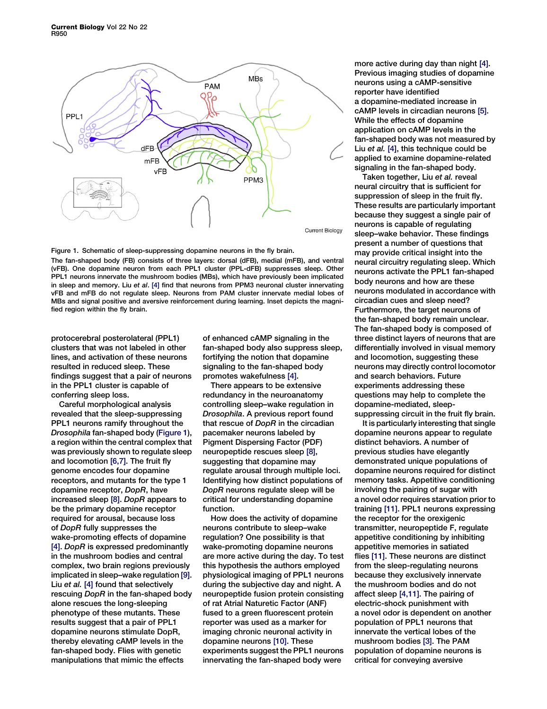

Figure 1. Schematic of sleep-suppressing dopamine neurons in the fly brain. The fan-shaped body (FB) consists of three layers: dorsal (dFB), medial (mFB), and ventral (vFB). One dopamine neuron from each PPL1 cluster (PPL-dFB) suppresses sleep. Other PPL1 neurons innervate the mushroom bodies (MBs), which have previously been implicated in sleep and memory. Liu et al. [\[4\]](#page-2-0) find that neurons from PPM3 neuronal cluster innervating vFB and mFB do not regulate sleep. Neurons from PAM cluster innervate medial lobes of MBs and signal positive and aversive reinforcement during learning. Inset depicts the magnified region within the fly brain.

protocerebral posterolateral (PPL1) clusters that was not labeled in other lines, and activation of these neurons resulted in reduced sleep. These findings suggest that a pair of neurons in the PPL1 cluster is capable of conferring sleep loss.

Careful morphological analysis revealed that the sleep-suppressing PPL1 neurons ramify throughout the Drosophila fan-shaped body (Figure 1), a region within the central complex that was previously shown to regulate sleep and locomotion [\[6,7\].](#page-2-0) The fruit fly genome encodes four dopamine receptors, and mutants for the type 1 dopamine receptor, DopR, have increased sleep [\[8\]](#page-2-0). DopR appears to be the primary dopamine receptor required for arousal, because loss of DopR fully suppresses the wake-promoting effects of dopamine [\[4\]](#page-2-0). DopR is expressed predominantly in the mushroom bodies and central complex, two brain regions previously implicated in sleep–wake regulation [\[9\]](#page-2-0). Liu et al. [\[4\]](#page-2-0) found that selectively rescuing DopR in the fan-shaped body alone rescues the long-sleeping phenotype of these mutants. These results suggest that a pair of PPL1 dopamine neurons stimulate DopR, thereby elevating cAMP levels in the fan-shaped body. Flies with genetic manipulations that mimic the effects

of enhanced cAMP signaling in the fan-shaped body also suppress sleep, fortifying the notion that dopamine signaling to the fan-shaped body promotes wakefulness [\[4\]](#page-2-0).

There appears to be extensive redundancy in the neuroanatomy controlling sleep–wake regulation in Drosophila. A previous report found that rescue of DopR in the circadian pacemaker neurons labeled by Pigment Dispersing Factor (PDF) neuropeptide rescues sleep [\[8\],](#page-2-0) suggesting that dopamine may regulate arousal through multiple loci. Identifying how distinct populations of DopR neurons regulate sleep will be critical for understanding dopamine function.

How does the activity of dopamine neurons contribute to sleep–wake regulation? One possibility is that wake-promoting dopamine neurons are more active during the day. To test this hypothesis the authors employed physiological imaging of PPL1 neurons during the subjective day and night. A neuropeptide fusion protein consisting of rat Atrial Naturetic Factor (ANF) fused to a green fluorescent protein reporter was used as a marker for imaging chronic neuronal activity in dopamine neurons [\[10\]](#page-2-0). These experiments suggest the PPL1 neurons innervating the fan-shaped body were

more active during day than night [\[4\].](#page-2-0) Previous imaging studies of dopamine neurons using a cAMP-sensitive reporter have identified a dopamine-mediated increase in cAMP levels in circadian neurons [\[5\].](#page-2-0) While the effects of dopamine application on cAMP levels in the fan-shaped body was not measured by Liu et al. [\[4\],](#page-2-0) this technique could be applied to examine dopamine-related signaling in the fan-shaped body.

Taken together, Liu et al. reveal neural circuitry that is sufficient for suppression of sleep in the fruit fly. These results are particularly important because they suggest a single pair of neurons is capable of regulating sleep–wake behavior. These findings present a number of questions that may provide critical insight into the neural circuitry regulating sleep. Which neurons activate the PPL1 fan-shaped body neurons and how are these neurons modulated in accordance with circadian cues and sleep need? Furthermore, the target neurons of the fan-shaped body remain unclear. The fan-shaped body is composed of three distinct layers of neurons that are differentially involved in visual memory and locomotion, suggesting these neurons may directly control locomotor and search behaviors. Future experiments addressing these questions may help to complete the dopamine-mediated, sleepsuppressing circuit in the fruit fly brain.

It is particularly interesting that single dopamine neurons appear to regulate distinct behaviors. A number of previous studies have elegantly demonstrated unique populations of dopamine neurons required for distinct memory tasks. Appetitive conditioning involving the pairing of sugar with a novel odor requires starvation prior to training [\[11\]](#page-2-0). PPL1 neurons expressing the receptor for the orexigenic transmitter, neuropeptide F, regulate appetitive conditioning by inhibiting appetitive memories in satiated flies [\[11\].](#page-2-0) These neurons are distinct from the sleep-regulating neurons because they exclusively innervate the mushroom bodies and do not affect sleep [\[4,11\]](#page-2-0). The pairing of electric-shock punishment with a novel odor is dependent on another population of PPL1 neurons that innervate the vertical lobes of the mushroom bodies [\[3\].](#page-2-0) The PAM population of dopamine neurons is critical for conveying aversive